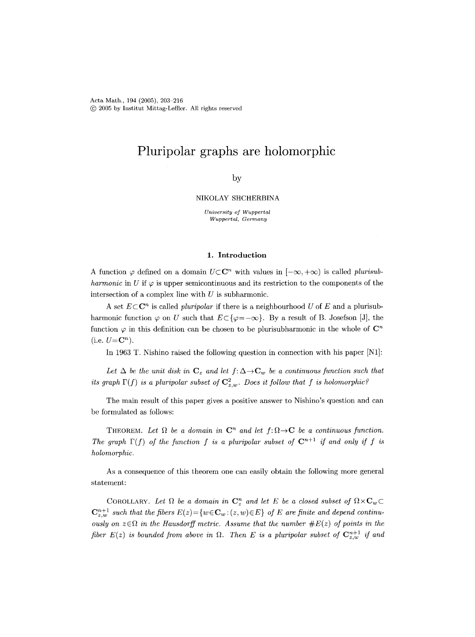Acta Math., 194 (2005), 203-216 (~) 2005 by Institut Mittag-Leffler. All rights reserved

# **Pluripolar graphs are holomorphic**

## by

### NIKOLAY SHCHERBINA

*University of Wuppertal Wuppertal, Germany* 

## **1. Introduction**

A function  $\varphi$  defined on a domain  $U \subset \mathbb{C}^n$  with values in  $[-\infty, +\infty)$  is called *plurisubharmonic* in U if  $\varphi$  is upper semicontinuous and its restriction to the components of the intersection of a complex line with  $U$  is subharmonic.

A set  $E \subset \mathbb{C}^n$  is called *pluripolar* if there is a neighbourhood U of E and a plurisubharmonic function  $\varphi$  on U such that  $E \subset {\varphi = -\infty}$ . By a result of B. Josefson [J], the function  $\varphi$  in this definition can be chosen to be plurisubharmonic in the whole of  $\mathbb{C}^n$  $(i.e.  $U = \mathbb{C}^n$ ).$ 

In 1963 T. Nishino raised the following question in connection with his paper [N1]:

Let  $\Delta$  be the unit disk in  $C_z$  and let  $f: \Delta \to C_w$  be a continuous function such that *its graph*  $\Gamma(f)$  *is a pluripolar subset of*  $\mathbb{C}_{z,w}^2$ . Does *it follow that* f *is holomorphic?* 

The main result of this paper gives a positive answer to Nishino's question and can be formulated as follows:

THEOREM. Let  $\Omega$  be a domain in  $\mathbb{C}^n$  and let  $f: \Omega \to \mathbb{C}$  be a continuous function. The graph  $\Gamma(f)$  of the function f is a pluripolar subset of  $\mathbb{C}^{n+1}$  if and only if f is *holomorphic.* 

As a consequence of this theorem one can easily obtain the following more general statement:

COROLLARY. Let  $\Omega$  be a domain in  $\mathbb{C}^n_z$  and let E be a closed subset of  $\Omega \times \mathbb{C}_w \subset$  $\mathbb{C}_{z,w}^{n+1}$  *such that the fibers*  $E(z) = \{w \in \mathbb{C}_w : (z,w) \in E\}$  of E are finite and depend continu*ously on*  $z \in \Omega$  *in the Hausdorff metric. Assume that the number*  $\#E(z)$  *of points in the fiber E(z) is bounded from above in*  $\Omega$ . Then *E* is a pluripolar subset of  $\mathbf{C}_{z,w}^{n+1}$  if and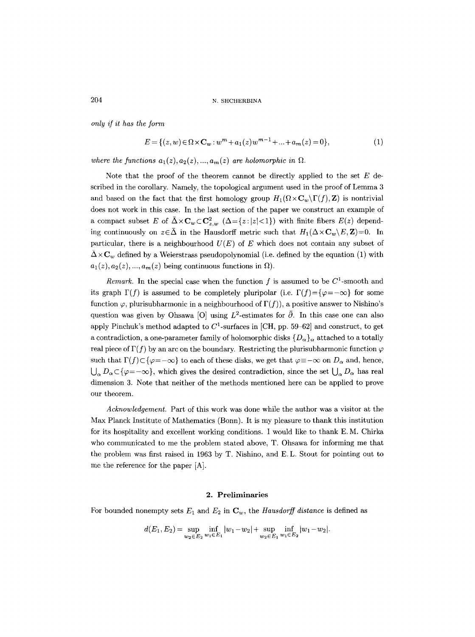*only if it has the form* 

$$
E = \{(z, w) \in \Omega \times \mathbf{C}_w : w^m + a_1(z)w^{m-1} + \dots + a_m(z) = 0\},\tag{1}
$$

where the functions  $a_1(z), a_2(z), ..., a_m(z)$  are holomorphic in  $\Omega$ .

Note that the proof of the theorem cannot be directly applied to the set  $E$  described in the corollary. Namely, the topological argument used in the proof of Lemma 3 and based on the fact that the first homology group  $H_1(\Omega \times \mathbf{C}_w \backslash \Gamma(f),\mathbf{Z})$  is nontrivial does not work in this case. In the last section of the paper we construct an example of a compact subset E of  $\bar{\Delta} \times C_w \subset C_{z,w}^2$  ( $\Delta = \{z : |z| < 1\}$ ) with finite fibers  $E(z)$  depending continuously on  $z \in \bar{\Delta}$  in the Hausdorff metric such that  $H_1(\Delta \times \mathbf{C}_w \setminus E, \mathbf{Z})=0$ . In particular, there is a neighbourhood  $U(E)$  of E which does not contain any subset of  $\Delta \times \mathbf{C}_w$  defined by a Weierstrass pseudopolynomial (i.e. defined by the equation (1) with  $a_1(z), a_2(z), ..., a_m(z)$  being continuous functions in  $\Omega$ ).

*Remark.* In the special case when the function  $f$  is assumed to be  $C^1$ -smooth and its graph  $\Gamma(f)$  is assumed to be completely pluripolar (i.e.  $\Gamma(f)=\{\varphi=-\infty\}$  for some function  $\varphi$ , plurisubharmonic in a neighbourhood of  $\Gamma(f)$ ), a positive answer to Nishino's question was given by Ohsawa [O] using  $L^2$ -estimates for  $\bar{\partial}$ . In this case one can also apply Pinchuk's method adapted to  $C^1$ -surfaces in [CH, pp. 59–62] and construct, to get a contradiction, a one-parameter family of holomorphic disks  ${D_{\alpha}}_{\alpha}$  attached to a totally real piece of  $\Gamma(f)$  by an arc on the boundary. Restricting the plurisubharmonic function  $\varphi$ such that  $\Gamma(f) \subset {\varphi}=-\infty$  to each of these disks, we get that  $\varphi = -\infty$  on  $D_{\alpha}$  and, hence,  $\bigcup_{\alpha} D_{\alpha} \subset \{\varphi = -\infty\}$ , which gives the desired contradiction, since the set  $\bigcup_{\alpha} D_{\alpha}$  has real dimension 3. Note that neither of the methods mentioned here can be applied to prove our theorem.

*Acknowledgement.* Part of this work was done while the author was a visitor at the Max Planck Institute of Mathematics (Bonn). It is my pleasure to thank this institution for its hospitality and excellent working conditions. I would like to thank E.M. Chirka who communicated to me the problem stated above, T. Ohsawa for informing me that the problem was first raised in 1963 by T. Nishino, and E.L. Stout for pointing out to me the reference for the paper [A].

## **2. Preliminaries**

For bounded nonempty sets  $E_1$  and  $E_2$  in  $\mathbf{C}_w$ , the *Hausdorff distance* is defined as

$$
d(E_1, E_2) = \sup_{w_2 \in E_2} \inf_{w_1 \in E_1} |w_1 - w_2| + \sup_{w_2 \in E_1} \inf_{w_1 \in E_2} |w_1 - w_2|.
$$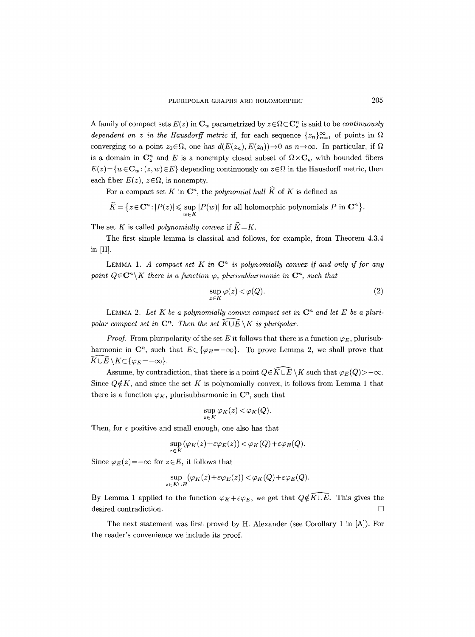A family of compact sets  $E(z)$  in  $\mathbf{C}_w$  parametrized by  $z \in \Omega \subset \mathbf{C}_z^n$  is said to be *continuously dependent on z in the Hausdorff metric* if, for each sequence  $\{z_n\}_{n=1}^{\infty}$  of points in  $\Omega$ converging to a point  $z_0 \in \Omega$ , one has  $d(E(z_n), E(z_0)) \to 0$  as  $n \to \infty$ . In particular, if  $\Omega$ is a domain in  $\mathbb{C}_z^n$  and E is a nonempty closed subset of  $\Omega \times \mathbb{C}_w$  with bounded fibers  $E(z) = \{w \in \mathbb{C}_w : (z, w) \in E\}$  depending continuously on  $z \in \Omega$  in the Hausdorff metric, then each fiber  $E(z)$ ,  $z \in \Omega$ , is nonempty.

For a compact set K in  $\mathbb{C}^n$ , the *polynomial hull*  $\widehat{K}$  of K is defined as

$$
\widehat{K} = \{ z \in \mathbf{C}^n : |P(z)| \leq \sup_{w \in K} |P(w)| \text{ for all holomorphic polynomials } P \text{ in } \mathbf{C}^n \}.
$$

The set K is called *polynomially convex* if  $\widehat{K} = K$ .

The first simple lemma is classical and follows, for example, from Theorem 4.3.4 **in [H],** 

LEMMA 1. A compact set K in  $\mathbb{C}^n$  is polynomially convex if and only if for any *point*  $Q \in \mathbb{C}^n \setminus K$  *there is a function*  $\varphi$ *, plurisubharmonic in*  $\mathbb{C}^n$ *, such that* 

$$
\sup_{z \in K} \varphi(z) < \varphi(Q). \tag{2}
$$

LEMMA 2. Let K be a polynomially convex compact set in  $\mathbb{C}^n$  and let E be a pluri*polar compact set in*  $\mathbb{C}^n$ . Then the set  $\widehat{K \cup E} \setminus K$  is pluripolar.

*Proof.* From pluripolarity of the set E it follows that there is a function  $\varphi_E$ , plurisubharmonic in  $\mathbb{C}^n$ , such that  $E \subset \{ \varphi_E = -\infty \}$ . To prove Lemma 2, we shall prove that  $\widehat{K\cup E}\setminus K\subset \{\varphi_E\!=\!-\infty\}.$ 

Assume, by contradiction, that there is a point  $Q \in \widehat{K \cup E} \setminus K$  such that  $\varphi_E(Q) > -\infty$ . Since  $Q \notin K$ , and since the set K is polynomially convex, it follows from Lemma 1 that there is a function  $\varphi_K$ , plurisubharmonic in  $\mathbb{C}^n$ , such that

$$
\sup_{z \in K} \varphi_K(z) < \varphi_K(Q).
$$

Then, for  $\varepsilon$  positive and small enough, one also has that

$$
\sup_{z \in K} (\varphi_K(z) + \varepsilon \varphi_E(z)) < \varphi_K(Q) + \varepsilon \varphi_E(Q).
$$

Since  $\varphi_E(z) = -\infty$  for  $z \in E$ , it follows that

$$
\sup_{z \in K \cup E} (\varphi_K(z) + \varepsilon \varphi_E(z)) < \varphi_K(Q) + \varepsilon \varphi_E(Q).
$$

By Lemma 1 applied to the function  $\varphi_K + \varepsilon \varphi_E$ , we get that  $Q \notin \widehat{K \cup E}$ . This gives the desired contradiction.  $\Box$ 

The next statement was first proved by H. Alexander (see Corollary 1 in [A]). For the reader's convenience we include its proof.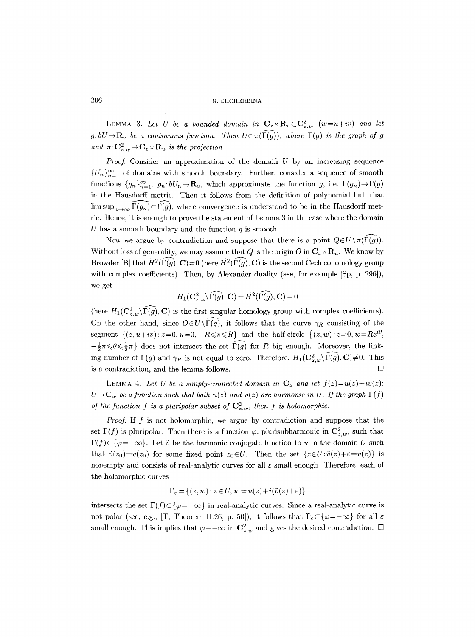LEMMA 3. Let U be a bounded domain in  $C_z \times R_u \subset C_{z,w}^2$   $(w=u+iv)$  and let  $g:bU \rightarrow \mathbf{R}_v$  be a continuous function. Then  $U \subset \pi(\widehat{\Gamma(g)})$ , where  $\Gamma(g)$  is the graph of g and  $\pi: \mathbb{C}_{z,w}^2 \to \mathbb{C}_z \times \mathbb{R}_u$  *is the projection.* 

*Proof.* Consider an approximation of the domain  $U$  by an increasing sequence  ${U_n}_{n=1}^{\infty}$  of domains with smooth boundary. Further, consider a sequence of smooth functions  $\{g_n\}_{n=1}^{\infty}$ ,  $g_n: bU_n \to \mathbf{R}_v$ , which approximate the function g, i.e.  $\Gamma(g_n) \to \Gamma(g)$ in the Hausdorff metric. Then it follows from the definition of polynomial hull that  $\limsup_{n\to\infty}\widehat{\Gamma(g_n)}\subset\widehat{\Gamma(g)}$ , where convergence is understood to be in the Hausdorff metric. Hence, it is enough to prove the statement of Lemma 3 in the case where the domain U has a smooth boundary and the function  $q$  is smooth.

Now we argue by contradiction and suppose that there is a point  $Q \in U \setminus \pi(\widehat{\Gamma(g)})$ . Without loss of generality, we may assume that Q is the origin O in  $C_z \times R_u$ . We know by Browder [B] that  $\widetilde{H}^2(\Gamma(q), \mathbf{C})=0$  (here  $\widetilde{H}^2(\Gamma(q), \mathbf{C})$  is the second Cech cohomology group with complex coefficients). Then, by Alexander duality (see, for example [Sp, p. 296]), we get

$$
H_1(\mathbf{C}_{z,w}^2 \backslash \widehat{\Gamma(g)}, \mathbf{C}) = \widecheck{H}^2(\widehat{\Gamma(g)}, \mathbf{C}) = 0
$$

(here  $H_1(\mathbf{C}_{z,w}^2\backslash\widehat{\Gamma(g)}, \mathbf{C})$  is the first singular homology group with complex coefficients). On the other hand, since  $O\in U\backslash \widehat{\Gamma(g)}$ , it follows that the curve  $\gamma_R$  consisting of the segment  $\{(z, u+iv): z=0, u=0, -R\leq v\leq R\}$  and the half-circle  $\{(z, w): z=0, w=Re^{i\theta},\}$  $-\frac{1}{2}\pi \leq \theta \leq \frac{1}{2}\pi$  does not intersect the set  $\widehat{\Gamma(g)}$  for R big enough. Moreover, the linking number of  $\Gamma(g)$  and  $\gamma_R$  is not equal to zero. Therefore,  $H_1(\mathbf{C}_{z,w}^2\setminus\widehat{\Gamma(g)}, \mathbf{C})\neq 0$ . This is a contradiction, and the lemma follows.  $\Box$ 

LEMMA 4. Let U be a simply-connected domain in  $\mathbf{C}_z$  and let  $f(z)=u(z)+iv(z)$ :  $U\rightarrow{\bf{C}}_w$  be a function such that both  $u(z)$  and  $v(z)$  are harmonic in U. If the graph  $\Gamma(f)$ *of the function f is a pluripolar subset of*  $C_{z,w}^2$ , then f is holomorphic.

*Proof.* If f is not holomorphic, we argue by contradiction and suppose that the set  $\Gamma(f)$  is pluripolar. Then there is a function  $\varphi$ , plurisubharmonic in  $\mathbb{C}_{z,w}^2$ , such that  $\Gamma(f) \subset {\varphi=-\infty}$ . Let  $\tilde{v}$  be the harmonic conjugate function to u in the domain U such that  $\tilde{v}(z_0)=v(z_0)$  for some fixed point  $z_0\in U$ . Then the set  $\{z\in U:\tilde{v}(z)+\varepsilon=v(z)\}\$  is nonempty and consists of real-analytic curves for all  $\varepsilon$  small enough. Therefore, each of the holomorphic curves

$$
\Gamma_{\varepsilon} = \{(z, w) : z \in U, w = u(z) + i(\tilde{v}(z) + \varepsilon)\}
$$

intersects the set  $\Gamma(f) \subset \{\varphi = -\infty\}$  in real-analytic curves. Since a real-analytic curve is not polar (see, e.g., [T, Theorem II.26, p. 50]), it follows that  $\Gamma_{\varepsilon} \subset {\varphi=-\infty}$  for all  $\varepsilon$ small enough. This implies that  $\varphi \equiv -\infty$  in  $C_{z,w}^2$  and gives the desired contradiction.  $\square$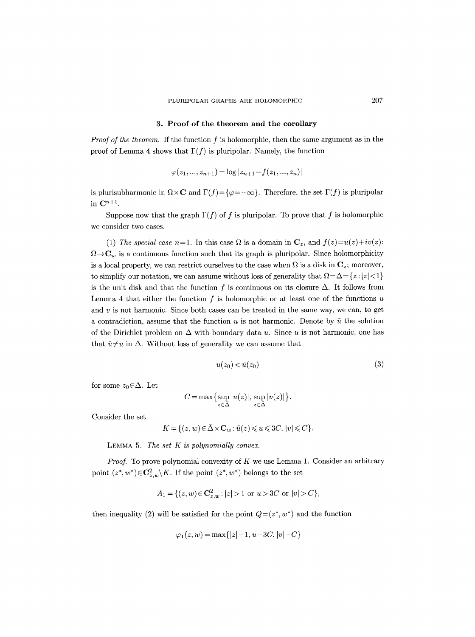## **3. Proof of the theorem and the corollary**

*Proof of the theorem.* If the function f is holomorphic, then the same argument as in the proof of Lemma 4 shows that  $\Gamma(f)$  is pluripolar. Namely, the function

$$
\varphi(z_1, ..., z_{n+1}) = \log |z_{n+1} - f(z_1, ..., z_n)|
$$

is plurisubharmonic in  $\Omega \times \mathbf{C}$  and  $\Gamma(f)=\{\varphi=-\infty\}$ . Therefore, the set  $\Gamma(f)$  is pluripolar in  $\mathbf{C}^{n+1}$ .

Suppose now that the graph  $\Gamma(f)$  of f is pluripolar. To prove that f is holomorphic we consider two cases.

(1) *The special case n*=1. In this case  $\Omega$  is a domain in  $\mathbf{C}_z$ , and  $f(z)=u(z)+iv(z)$ :  $f_{\text{f}}(t) \to \infty$  is a continuous function such that its graph is pluripolar. Since holomorphicity is a local property, we can restrict ourselves to the case when  $\Omega$  is a disk in  $\mathbb{C}_z$ ; moreover, to simplify our notation, we can assume without loss of generality that  $\Omega = \Delta = \{z : |z| < 1\}$ is the unit disk and that the function f is continuous on its closure  $\bar{\Delta}$ . It follows from Lemma 4 that either the function  $f$  is holomorphic or at least one of the functions  $u$ and  $v$  is not harmonic. Since both cases can be treated in the same way, we can, to get a contradiction, assume that the function  $u$  is not harmonic. Denote by  $\tilde{u}$  the solution of the Dirichlet problem on  $\Delta$  with boundary data u. Since u is not harmonic, one has that  $\tilde{u} \neq u$  in  $\Delta$ . Without loss of generality we can assume that

$$
u(z_0) < \tilde{u}(z_0) \tag{3}
$$

for some  $z_0 \in \Delta$ . Let

$$
C = \max\left\{\sup_{z \in \bar{\Delta}} |u(z)|, \sup_{z \in \bar{\Delta}} |v(z)|\right\}.
$$

Consider the set

$$
K = \{ (z, w) \in \bar{\Delta} \times \mathbf{C}_w : \tilde{u}(z) \leqslant u \leqslant 3C, \, |v| \leqslant C \}.
$$

LEMMA 5. *The set K is polynomially convex.* 

*Proof.* To prove polynomial convexity of K we use Lemma 1. Consider an arbitrary point  $(z^*, w^*) \in \mathbb{C}_{z,w}^2 \backslash K$ . If the point  $(z^*, w^*)$  belongs to the set

$$
A_1 = \{(z, w) \in \mathbb{C}^2_{z,w} : |z| > 1 \text{ or } u > 3C \text{ or } |v| > C\},\
$$

then inequality (2) will be satisfied for the point  $Q=(z^*, w^*)$  and the function

$$
\varphi_1(z, w) = \max\{|z| - 1, u - 3C, |v| - C\}
$$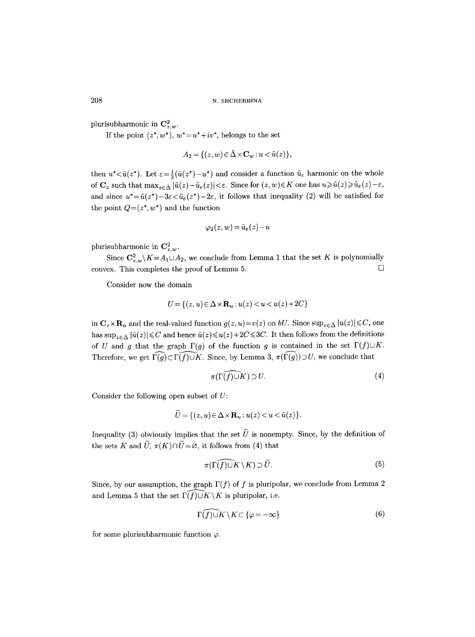plurisubharmonic in  $\mathbf{C}_{z,w}^2$ .

If the point  $(z^*, w^*)$ ,  $w^* = u^* + iv^*$ , belongs to the set

$$
A_2 = \{(z, w) \in \bar{\Delta} \times \mathbf{C}_w : u < \tilde{u}(z)\},\
$$

then  $u^*<\tilde{u}(z^*)$ . Let  $\varepsilon=\frac{1}{3}(\tilde{u}(z^*)-u^*)$  and consider a function  $\tilde{u}_{\varepsilon}$  harmonic on the whole of  $\mathbf{C}_z$  such that  $\max_{z \in \bar{\Delta}} |\tilde{u}(z)-\tilde{u}_{\varepsilon}(z)| < \varepsilon$ . Since for  $(z, w) \in K$  one has  $u \geq \tilde{u}(z) \geq \tilde{u}_{\varepsilon}(z)-\varepsilon$ , and since  $u^* = \tilde{u}(z^*)-3\varepsilon < \tilde{u}_{\varepsilon}(z^*)-2\varepsilon$ , it follows that inequality (2) will be satisfied for the point  $Q=(z^*,w^*)$  and the function

$$
\varphi_2(z,w) = \tilde{u}_{\varepsilon}(z) - u
$$

plurisubharmonic in  $\mathbf{C}_{z,w}^2$ .

Since  $C_{z,w}^2 \backslash K = A_1 \cup A_2$ , we conclude from Lemma 1 that the set K is polynomially convex. This completes the proof of Lemma 5.  $\Box$ 

Consider now the domain

$$
U = \{(z, u) \in \Delta \times \mathbf{R}_u : u(z) < u < u(z) + 2C\}
$$

in  $\mathbf{C}_z \times \mathbf{R}_u$  and the real-valued function  $g(z, u) = v(z)$  on *bU*. Since  $\sup_{z \in \bar{\Delta}} |u(z)| \leq C$ , one has  $\sup_{z\in\bar{\Delta}}|\tilde{u}(z)|{\leq}C$  and hence  $\tilde{u}(z){\leq}u(z)+2C{\leq}3C$ . It then follows from the definitions of U and g that the graph  $\Gamma(g)$  of the function g is contained in the set  $\Gamma(f) \cup K$ . Therefore, we get  $\widehat{\Gamma(g)} \subset \widehat{\Gamma(f)} \cup K$ . Since, by Lemma 3,  $\pi(\widehat{\Gamma(g)}) \supset U$ , we conclude that

$$
\pi(\widehat{\Gamma(f)\cup K}) \supset U. \tag{4}
$$

Consider the following open subset of  $U$ :

$$
\tilde{U} = \{(z, u) \in \Delta \times \mathbf{R}_u : u(z) < u < \tilde{u}(z)\}.
$$

Inequality (3) obviously implies that the set  $\tilde{U}$  is nonempty. Since, by the definition of the sets K and  $\widetilde{U}$ ,  $\pi(K) \cap \widetilde{U} = \varnothing$ , it follows from (4) that

$$
\pi(\widehat{\Gamma(f)\cup K}\setminus K)\supset \widetilde{U}.\tag{5}
$$

Since, by our assumption, the graph  $\Gamma(f)$  of f is pluripolar, we conclude from Lemma 2 and Lemma 5 that the set  $\widehat{\Gamma(f)} \cup K \setminus K$  is pluripolar, i.e.

$$
\widehat{\Gamma(f)\cup K}\setminus K\subset\{\varphi=-\infty\}\tag{6}
$$

for some plurisubharmonic function  $\varphi$ .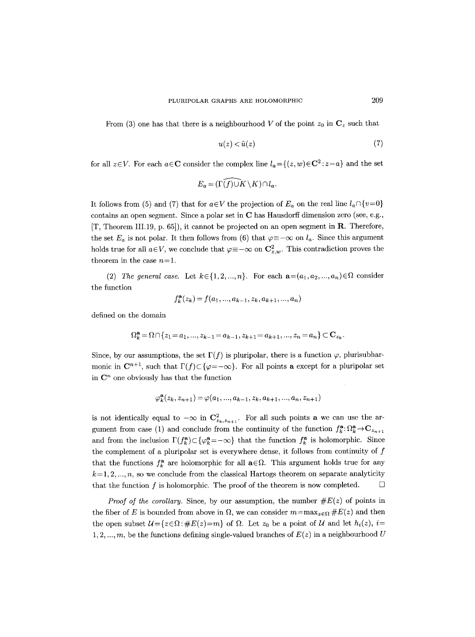From (3) one has that there is a neighbourhood V of the point  $z_0$  in  $\mathbb{C}_z$  such that

$$
u(z) < \tilde{u}(z) \tag{7}
$$

for all  $z \in V$ . For each  $a \in \mathbb{C}$  consider the complex line  $l_a = \{(z, w) \in \mathbb{C}^2 : z = a\}$  and the set

$$
E_a = (\widehat{\Gamma(f)} \cup K \setminus K) \cap l_a.
$$

It follows from (5) and (7) that for  $a \in V$  the projection of  $E_a$  on the real line  $l_a \cap \{v=0\}$ contains an open segment. Since a polar set in C has Hausdorff dimension zero (see, e.g.,  $[T, Theorem III.19, p. 65]$ , it cannot be projected on an open segment in **R**. Therefore, the set  $E_a$  is not polar. It then follows from (6) that  $\varphi \equiv -\infty$  on  $l_a$ . Since this argument holds true for all  $a \in V$ , we conclude that  $\varphi \equiv -\infty$  on  $\mathbb{C}_{z,w}^2$ . This contradiction proves the theorem in the case  $n=1$ .

(2) *The general case.* Let  $k \in \{1, 2, ..., n\}$ . For each  $\mathbf{a} = (a_1, a_2, ..., a_n) \in \Omega$  consider the function

$$
f_k^{\mathbf{a}}(z_k) = f(a_1, ..., a_{k-1}, z_k, a_{k+1}, ..., a_n)
$$

defined on the domain

$$
\Omega_k^{\mathbf{a}} = \Omega \cap \{z_1 = a_1, ..., z_{k-1} = a_{k-1}, z_{k+1} = a_{k+1}, ..., z_n = a_n\} \subset \mathbf{C}_{z_k}.
$$

Since, by our assumptions, the set  $\Gamma(f)$  is pluripolar, there is a function  $\varphi$ , plurisubharmonic in  $\mathbb{C}^{n+1}$ , such that  $\Gamma(f) \subset \{ \varphi = -\infty \}$ . For all points a except for a pluripolar set in  $\mathbb{C}^n$  one obviously has that the function

$$
\varphi_k^{\mathbf{a}}(z_k, z_{n+1}) = \varphi(a_1, ..., a_{k-1}, z_k, a_{k+1}, ..., a_n, z_{n+1})
$$

is not identically equal to  $-\infty$  in  $\mathbb{C}^2_{z_k,z_{n+1}}$ . For all such points **a** we can use the argument from case (1) and conclude from the continuity of the function  $f_k^{\mathbf{a}}: \Omega_k^{\mathbf{a}} \to \mathbf{C}_{z_{n+1}}$ and from the inclusion  $\Gamma(f_k^a) \subset {\{\varphi_k^a = -\infty\}}$  that the function  $f_k^a$  is holomorphic. Since the complement of a pluripolar set is everywhere dense, it follows from continuity of  $f$ that the functions  $f_{k}^{\mathbf{a}}$  are holomorphic for all  $\mathbf{a}\in\Omega$ . This argument holds true for any  $k=1, 2, ..., n$ , so we conclude from the classical Hartogs theorem on separate analyticity that the function f is holomorphic. The proof of the theorem is now completed.  $\Box$ 

*Proof of the corollary.* Since, by our assumption, the number  $\#E(z)$  of points in the fiber of E is bounded from above in  $\Omega$ , we can consider  $m = \max_{z \in \Omega} \#E(z)$  and then the open subset  $\mathcal{U} = \{z \in \Omega : \#E(z) = m\}$  of  $\Omega$ . Let  $z_0$  be a point of  $\mathcal U$  and let  $h_i(z)$ , i= 1, 2, ..., m, be the functions defining single-valued branches of  $E(z)$  in a neighbourhood U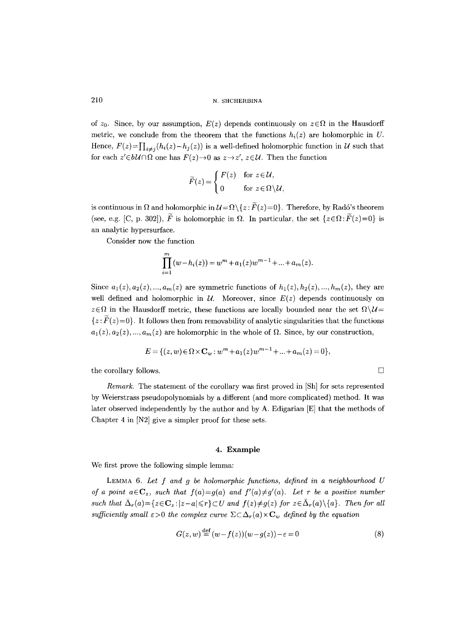of  $z_0$ . Since, by our assumption,  $E(z)$  depends continuously on  $z \in \Omega$  in the Hausdorff metric, we conclude from the theorem that the functions  $h_i(z)$  are holomorphic in U. Hence,  $F(z) = \prod_{i \neq j} (h_i(z) - h_j(z))$  is a well-defined holomorphic function in U such that for each  $z' \in b\mathcal{U} \cap \Omega$  one has  $F(z) \to 0$  as  $z \to z'$ ,  $z \in \mathcal{U}$ . Then the function

$$
\widetilde{F}(z) = \begin{cases} F(z) & \text{for } z \in \mathcal{U}, \\ 0 & \text{for } z \in \Omega \setminus \mathcal{U}, \end{cases}
$$

is continuous in  $\Omega$  and holomorphic in  $\mathcal{U} = \Omega \setminus \{z : \widetilde{F}(z) = 0\}$ . Therefore, by Radó's theorem (see, e.g. [C, p. 302]),  $\widetilde{F}$  is holomorphic in  $\Omega$ . In particular, the set  $\{z \in \Omega : \widetilde{F}(z) = 0\}$  is an analytic hypersurface.

Consider now the function

$$
\prod_{i=1}^{m} (w - h_i(z)) = w^m + a_1(z)w^{m-1} + \dots + a_m(z).
$$

Since  $a_1(z), a_2(z), ..., a_m(z)$  are symmetric functions of  $h_1(z), h_2(z), ..., h_m(z)$ , they are well defined and holomorphic in  $\mathcal{U}$ . Moreover, since  $E(z)$  depends continuously on  $z \in \Omega$  in the Hausdorff metric, these functions are locally bounded near the set  $\Omega \setminus \mathcal{U}$  $\{z: F(z)=0\}$ . It follows then from removability of analytic singularities that the functions  $a_1(z), a_2(z), ..., a_m(z)$  are holomorphic in the whole of  $\Omega$ . Since, by our construction,

$$
E = \{(z, w) \in \Omega \times \mathbf{C}_w : w^m + a_1(z)w^{m-1} + \dots + a_m(z) = 0\},\
$$

the corollary follows.  $\Box$ 

*Remark.* The statement of the corollary was first proved in [Sh] for sets represented by Weierstrass pseudopolynomials by a different (and more complicated) method. It was later observed independently by the author and by A. Edigarian [E] that the methods of Chapter 4 in IN2] give a simpler proof for these sets.

## **4. Example**

We first prove the following simple lemma:

LEMMA 6. *Let f and g be holomorphic functions, defined in a neighbourhood U of a point*  $a \in \mathbb{C}_z$ *, such that*  $f(a)=g(a)$  and  $f'(a) \neq g'(a)$ . Let r be a positive number such that  $\bar{\Delta}_r(a) = \{z \in \mathbb{C}_z : |z-a| \leq r\} \subset U$  and  $f(z) \neq g(z)$  for  $z \in \bar{\Delta}_r(a) \setminus \{a\}$ . Then for all *sufficiently small*  $\epsilon > 0$  *the complex curve*  $\Sigma \subset \Delta_r(a) \times \mathbb{C}_w$  *defined by the equation* 

$$
G(z, w) \stackrel{\text{def}}{=} (w - f(z))(w - g(z)) - \varepsilon = 0 \tag{8}
$$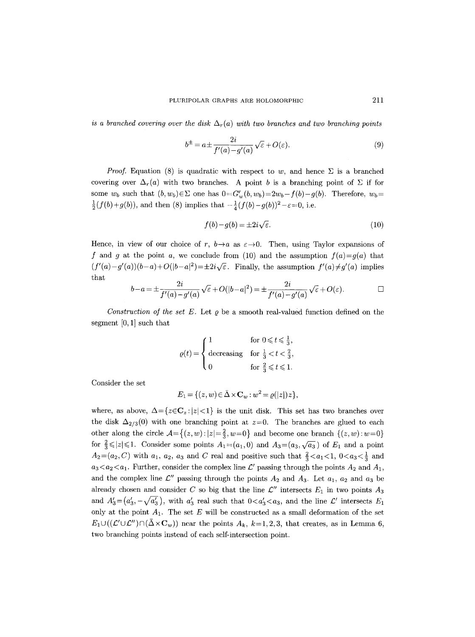*is a branched covering over the disk*  $\Delta_r(a)$  *with two branches and two branching points* 

$$
b^{\pm} = a \pm \frac{2i}{f'(a) - g'(a)} \sqrt{\varepsilon} + O(\varepsilon). \tag{9}
$$

*Proof.* Equation (8) is quadratic with respect to w, and hence  $\Sigma$  is a branched covering over  $\Delta_r(a)$  with two branches. A point b is a branching point of  $\Sigma$  if for some  $w_b$  such that  $(b, w_b) \in \Sigma$  one has  $0 = G'_w(b, w_b) = 2w_b - f(b) - g(b)$ . Therefore,  $w_b =$  $\frac{1}{2}(f(b)+g(b))$ , and then (8) implies that  $-\frac{1}{4}(f(b)-g(b))^2-\varepsilon=0$ , i.e.

$$
f(b) - g(b) = \pm 2i\sqrt{\varepsilon}.\tag{10}
$$

Hence, in view of our choice of r,  $b \rightarrow a$  as  $\varepsilon \rightarrow 0$ . Then, using Taylor expansions of f and g at the point a, we conclude from (10) and the assumption  $f(a)=g(a)$  that  $(f'(a)-g'(a))(b-a)+O(|b-a|^2) = \pm 2i\sqrt{\varepsilon}$ . Finally, the assumption  $f'(a) \neq g'(a)$  implies that

$$
b-a = \pm \frac{2i}{f'(a)-g'(a)} \sqrt{\varepsilon} + O(|b-a|^2) = \pm \frac{2i}{f'(a)-g'(a)} \sqrt{\varepsilon} + O(\varepsilon).
$$

*Construction of the set E.* Let  $\varrho$  be a smooth real-valued function defined on the segment  $[0, 1]$  such that

$$
\varrho(t) = \begin{cases} 1 & \text{for } 0 \leqslant t \leqslant \frac{1}{3}, \\ \text{decreasing} & \text{for } \frac{1}{3} < t < \frac{2}{3}, \\ 0 & \text{for } \frac{2}{3} \leqslant t \leqslant 1. \end{cases}
$$

Consider the set

$$
E_1 = \{ (z, w) \in \tilde{\Delta} \times \mathbf{C}_w : w^2 = \varrho(|z|) z \},\
$$

where, as above,  $\Delta = \{z \in \mathbb{C}_z : |z| < 1\}$  is the unit disk. This set has two branches over the disk  $\Delta_{2/3}(0)$  with one branching point at  $z=0$ . The branches are glued to each other along the circle  $A = \{(z, w): |z| = \frac{2}{3}, w = 0\}$  and become one branch  $\{(z, w): w = 0\}$ for  $\frac{2}{3} \le |z| \le 1$ . Consider some points  $A_1 = (a_1, 0)$  and  $A_3 = (a_3, \sqrt{a_3})$  of  $E_1$  and a point  $A_2=(a_2, C)$  with  $a_1, a_2, a_3$  and C real and positive such that  $\frac{2}{3} < a_1 < 1, 0 < a_3 < \frac{1}{3}$  and  $a_3 < a_2 < a_1$ . Further, consider the complex line  $\mathcal{L}'$  passing through the points  $A_2$  and  $A_1$ , and the complex line  $\mathcal{L}''$  passing through the points  $A_2$  and  $A_3$ . Let  $a_1$ ,  $a_2$  and  $a_3$  be already chosen and consider C so big that the line  $\mathcal{L}''$  intersects  $E_1$  in two points  $A_3$ and  $A'_3 = (a'_3, -\sqrt{a'_3})$ , with  $a'_3$  real such that  $0 < a'_3 < a_3$ , and the line  $\mathcal{L}'$  intersects  $E_1$ only at the point  $A_1$ . The set E will be constructed as a small deformation of the set  $E_1\cup((\mathcal{L}'\cup\mathcal{L}'')\cap(\bar{\Delta}\times\mathbf{C}_w))$  near the points  $A_k$ ,  $k=1,2,3$ , that creates, as in Lemma 6, two branching points instead of each self-intersection point.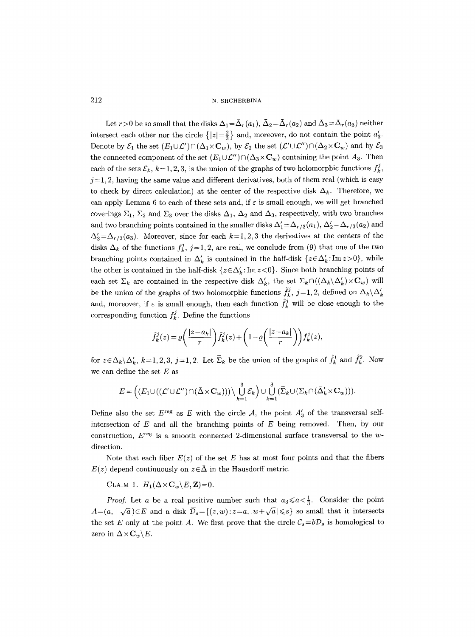Let  $r>0$  be so small that the disks  $\bar{\Delta}_1=\bar{\Delta}_r(a_1), \bar{\Delta}_2=\bar{\Delta}_r(a_2)$  and  $\bar{\Delta}_3=\bar{\Delta}_r(a_3)$  neither intersect each other nor the circle  $\{|z|=\frac{2}{3}\}\$  and, moreover, do not contain the point  $a'_3$ . Denote by  $\mathcal{E}_1$  the set  $(E_1\cup\mathcal{L}')\cap(\Delta_1\times\mathbb{C}_w)$ , by  $\mathcal{E}_2$  the set  $(\mathcal{L}'\cup\mathcal{L}'')\cap(\Delta_2\times\mathbb{C}_w)$  and by  $\mathcal{E}_3$ the connected component of the set  $(E_1 \cup \mathcal{L}'') \cap (\Delta_3 \times \mathbb{C}_w)$  containing the point  $A_3$ . Then each of the sets  $\mathcal{E}_k$ ,  $k=1, 2, 3$ , is the union of the graphs of two holomorphic functions  $f_k^j$ ,  $j=1, 2$ , having the same value and different derivatives, both of them real (which is easy to check by direct calculation) at the center of the respective disk  $\Delta_k$ . Therefore, we can apply Lemma 6 to each of these sets and, if  $\varepsilon$  is small enough, we will get branched coverings  $\Sigma_1$ ,  $\Sigma_2$  and  $\Sigma_3$  over the disks  $\Delta_1$ ,  $\Delta_2$  and  $\Delta_3$ , respectively, with two branches and two branching points contained in the smaller disks  $\Delta'_1 = \Delta_{r/3}(a_1), \Delta'_2 = \Delta_{r/3}(a_2)$  and  $\Delta'_{3}=\Delta_{r/3}(a_{3})$ . Moreover, since for each  $k=1, 2, 3$  the derivatives at the centers of the disks  $\Delta_k$  of the functions  $f_k^j$ , j=1, 2, are real, we conclude from (9) that one of the two branching points contained in  $\Delta'_{k}$  is contained in the half-disk  $\{z \in \Delta'_{k} : \text{Im } z > 0\}$ , while the other is contained in the half-disk  $\{z \in \Delta'_{k} : \text{Im } z < 0\}$ . Since both branching points of each set  $\Sigma_k$  are contained in the respective disk  $\Delta'_k$ , the set  $\Sigma_k \cap ((\Delta_k \backslash \Delta'_k) \times \mathbf{C}_w)$  will be the union of the graphs of two holomorphic functions  $\tilde{f}_k^j$ , j=1, 2, defined on  $\Delta_k\backslash \Delta'_k$ and, moreover, if  $\varepsilon$  is small enough, then each function  $\tilde{f}^j_k$  will be close enough to the corresponding function  $f_k^j$ . Define the functions

$$
\hat{f}^j_k(z) = \varrho\bigg(\frac{|z-a_k|}{r}\bigg)\tilde{f}^j_k(z) + \bigg(1-\varrho\bigg(\frac{|z-a_k|}{r}\bigg)\bigg)f^j_k(z),
$$

for  $z \in \Delta_k \backslash \Delta'_k$ ,  $k=1,2,3, j=1,2$ . Let  $\widetilde{\Sigma}_k$  be the union of the graphs of  $\hat{f}_k^1$  and  $\hat{f}_k^2$ . Now we can define the set  $E$  as

$$
E = \left( \left( E_1 \cup \left( \left( \mathcal{L}' \cup \mathcal{L}'' \right) \cap \left( \tilde{\Delta} \times \mathbf{C}_w \right) \right) \right) \setminus \bigcup_{k=1}^3 \mathcal{E}_k \right) \cup \bigcup_{k=1}^3 \left( \widetilde{\Sigma}_k \cup \left( \Sigma_k \cap \left( \bar{\Delta}'_k \times \mathbf{C}_w \right) \right) \right).
$$

Define also the set  $E^{\text{reg}}$  as E with the circle A, the point  $A'_{3}$  of the transversal selfintersection of  $E$  and all the branching points of  $E$  being removed. Then, by our construction,  $E^{\text{reg}}$  is a smooth connected 2-dimensional surface transversal to the wdirection.

Note that each fiber  $E(z)$  of the set E has at most four points and that the fibers  $E(z)$  depend continuously on  $z \in \overline{\Delta}$  in the Hausdorff metric.

CLAIM 1.  $H_1(\Delta \times \mathbf{C}_w \backslash E, \mathbf{Z}) = 0$ .

*Proof.* Let a be a real positive number such that  $a_3 \le a < \frac{1}{3}$ . Consider the point  $A=(a,-\sqrt{a})\in E$  and a disk  $\overline{\mathcal{D}}_s=\{(z,w):z=a, |w+\sqrt{a}|\leqslant s\}$  so small that it intersects the set E only at the point A. We first prove that the circle  $\mathcal{C}_s = b\mathcal{D}_s$  is homological to zero in  $\Delta \times \mathbf{C}_w \backslash E$ .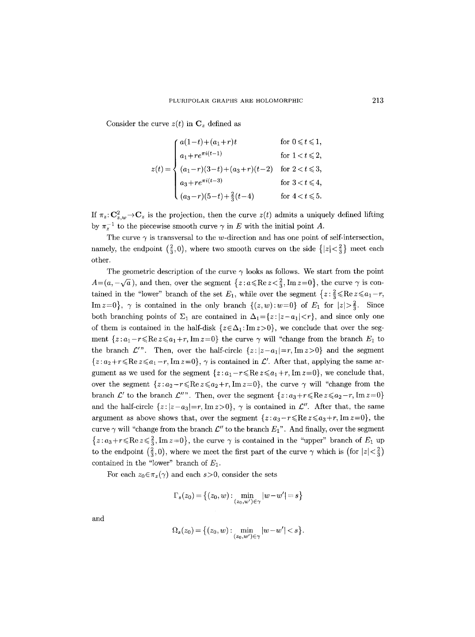Consider the curve  $z(t)$  in  $\mathbf{C}_z$  defined as

$$
z(t) = \begin{cases} a(1-t) + (a_1+r)t & \text{for } 0 \leq t \leq 1, \\ a_1 + re^{\pi i (t-1)} & \text{for } 1 < t \leq 2, \\ (a_1-r)(3-t) + (a_3+r)(t-2) & \text{for } 2 < t \leq 3, \\ a_3 + re^{\pi i (t-3)} & \text{for } 3 < t \leq 4, \\ (a_3-r)(5-t) + \frac{2}{3}(t-4) & \text{for } 4 < t \leq 5. \end{cases}
$$

If  $\pi_z \colon \mathbf{C}_{z,w}^2 \to \mathbf{C}_z$  is the projection, then the curve  $z(t)$  admits a uniquely defined lifting by  $\pi_z^{-1}$  to the piecewise smooth curve  $\gamma$  in E with the initial point A.

The curve  $\gamma$  is transversal to the w-direction and has one point of self-intersection, namely, the endpoint  $(\frac{2}{3},0)$ , where two smooth curves on the side  $\{|z|<\frac{2}{3}\}\$  meet each other.

The geometric description of the curve  $\gamma$  looks as follows. We start from the point  $A=(a,-\sqrt{a})$ , and then, over the segment  $\{z: a \leq R$ e  $z < \frac{2}{3}$ , Im  $z=0\}$ , the curve  $\gamma$  is contained in the "lower" branch of the set  $E_1$ , while over the segment  $\{z: \frac{2}{3} \leq R e \, z \leq a_1 - r,$ Im  $z=0$ ,  $\gamma$  is contained in the only branch  $\{(z,w):w=0\}$  of  $E_1$  for  $|z|>\frac{2}{3}$ . Since both branching points of  $\Sigma_1$  are contained in  $\Delta_1=\{z: |z-a_1|< r\}$ , and since only one of them is contained in the half-disk  $\{z \in \Delta_1 : \text{Im } z > 0\}$ , we conclude that over the segment  $\{z: a_1-r \leqslant \text{Re } z \leqslant a_1+r, \text{Im } z=0\}$  the curve  $\gamma$  will "change from the branch  $E_1$  to the branch  $\mathcal{L}^{\prime\prime}$ . Then, over the half-circle  $\{z: |z-a_1|=r, \text{Im } z>0\}$  and the segment  $\{z: a_2+r \leq R$ e  $z \leq a_1-r$ , Im  $z=0\}$ ,  $\gamma$  is contained in  $\mathcal{L}'$ . After that, applying the same argument as we used for the segment  $\{z: a_1-r \leq R$ e  $z \leq a_1+r$ , Im $z=0\}$ , we conclude that, over the segment  $\{z: a_2-r \leqslant \text{Re } z \leqslant a_2+r, \text{Im } z=0\}$ , the curve  $\gamma$  will "change from the branch  $\mathcal{L}'$  to the branch  $\mathcal{L}''$ . Then, over the segment  $\{z : a_3 + r \leq R$ e  $z \leq a_2 - r$ , Im  $z = 0\}$ and the half-circle  $\{z: |z-a_3|=r, \text{Im } z>0\}$ ,  $\gamma$  is contained in  $\mathcal{L}''$ . After that, the same argument as above shows that, over the segment  $\{z: a_3-r \leq R$ e $z \leq a_3+r$ , Im $z=0\}$ , the curve  $\gamma$  will "change from the branch  $\mathcal{L}''$  to the branch  $E_1$ ". And finally, over the segment  ${z: a_3+r \leqslant \operatorname{Re} z \leqslant \frac{2}{3}, \operatorname{Im} z=0}$ , the curve  $\gamma$  is contained in the "upper" branch of  $E_1$  up to the endpoint  $(\frac{2}{3},0)$ , where we meet the first part of the curve  $\gamma$  which is (for  $|z| < \frac{2}{3}$ ) contained in the "lower" branch of  $E_1$ .

For each  $z_0 \in \pi_z(\gamma)$  and each  $s > 0$ , consider the sets

$$
\Gamma_s(z_0) = \left\{ (z_0, w) : \min_{(z_0, w') \in \gamma} |w - w'| = s \right\}
$$

and

$$
\Omega_s(z_0) = \big\{ (z_0, w) : \min_{(z_0, w') \in \gamma} |w - w'| < s \big\}.
$$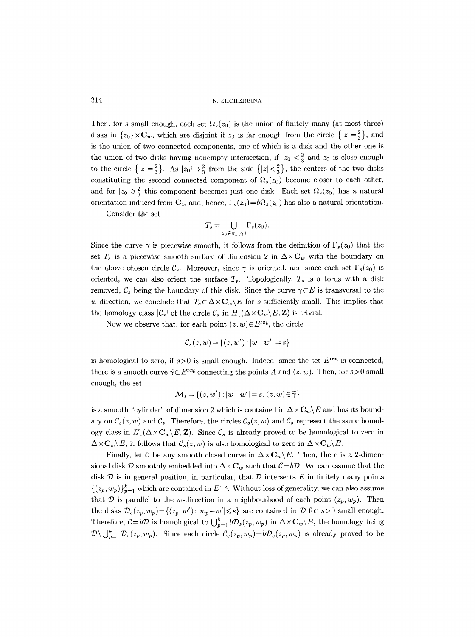Then, for s small enough, each set  $\Omega_s(z_0)$  is the union of finitely many (at most three) disks in  $\{z_0\}\times\mathbb{C}_w$ , which are disjoint if  $z_0$  is far enough from the circle  $\{|z|=\frac{2}{3}\}\$ , and is the union of two connected components, one of which is a disk and the other one is the union of two disks having nonempty intersection, if  $|z_0| < \frac{2}{3}$  and  $z_0$  is close enough to the circle  $\{|z|=\frac{2}{3}\}.$  As  $|z_0|\rightarrow\frac{2}{3}$  from the side  $\{|z|<\frac{2}{3}\},$  the centers of the two disks constituting the second connected component of  $\Omega_s(z_0)$  become closer to each other, and for  $|z_0|\geq \frac{2}{3}$  this component becomes just one disk. Each set  $\Omega_s(z_0)$  has a natural orientation induced from  $\mathbf{C}_w$  and, hence,  $\Gamma_s(z_0)= b\Omega_s(z_0)$  has also a natural orientation.

Consider the set

$$
T_s = \bigcup_{z_0 \in \pi_z(\gamma)} \Gamma_s(z_0).
$$

Since the curve  $\gamma$  is piecewise smooth, it follows from the definition of  $\Gamma_s(z_0)$  that the set  $T_s$  is a piecewise smooth surface of dimension 2 in  $\Delta \times \mathbf{C}_w$  with the boundary on the above chosen circle  $\mathcal{C}_s$ . Moreover, since  $\gamma$  is oriented, and since each set  $\Gamma_s(z_0)$  is oriented, we can also orient the surface  $T_s$ . Topologically,  $T_s$  is a torus with a disk removed,  $\mathcal{C}_s$  being the boundary of this disk. Since the curve  $\gamma \subset E$  is transversal to the w-direction, we conclude that  $T_s \subset \Delta \times C_w \backslash E$  for s sufficiently small. This implies that the homology class  $[\mathcal{C}_s]$  of the circle  $\mathcal{C}_s$  in  $H_1(\Delta \times \mathbf{C}_w \backslash E, \mathbf{Z})$  is trivial.

Now we observe that, for each point  $(z, w) \in E^{\text{reg}}$ , the circle

$$
\mathcal{C}_s(z, w) = \{(z, w') : |w - w'| = s\}
$$

is homological to zero, if  $s > 0$  is small enough. Indeed, since the set  $E^{\text{reg}}$  is connected, there is a smooth curve  $\tilde{\gamma} \subset E^{\text{reg}}$  connecting the points A and  $(z, w)$ . Then, for  $s > 0$  small enough, the set

$$
\mathcal{M}_s = \{(z, w') : |w - w'| = s, (z, w) \in \widetilde{\gamma}\}\
$$

is a smooth "cylinder" of dimension 2 which is contained in  $\Delta \times \mathbf{C}_w \setminus E$  and has its boundary on  $C_s(z, w)$  and  $C_s$ . Therefore, the circles  $C_s(z, w)$  and  $C_s$  represent the same homology class in  $H_1(\Delta \times \mathbf{C}_w \setminus E, \mathbf{Z})$ . Since  $\mathcal{C}_s$  is already proved to be homological to zero in  $\Delta \times \mathbf{C}_w \backslash E$ , it follows that  $\mathcal{C}_s(z, w)$  is also homological to zero in  $\Delta \times \mathbf{C}_w \backslash E$ .

Finally, let C be any smooth closed curve in  $\Delta \times \mathbf{C}_w \backslash E$ . Then, there is a 2-dimensional disk  $\mathcal D$  smoothly embedded into  $\Delta \times \mathbf{C}_w$  such that  $\mathcal{C} = b\mathcal{D}$ . We can assume that the disk  $\mathcal D$  is in general position, in particular, that  $\mathcal D$  intersects E in finitely many points  $\{(z_p, w_p)\}_{p=1}^k$  which are contained in  $E^{\text{reg}}$ . Without loss of generality, we can also assume that  $\mathcal D$  is parallel to the w-direction in a neighbourhood of each point  $(z_p, w_p)$ . Then the disks  $\mathcal{D}_s(z_p, w_p) = \{(z_p, w') : |w_p - w'| \leq s\}$  are contained in  $\mathcal D$  for  $s > 0$  small enough. Therefore,  $C=b\mathcal{D}$  is homological to  $\bigcup_{p=1}^k b\mathcal{D}_s(z_p, w_p)$  in  $\Delta \times \mathbf{C}_w \backslash E$ , the homology being  $\mathcal{D}\setminus\bigcup_{p=1}^k \mathcal{D}_s(z_p, w_p)$ . Since each circle  $\mathcal{C}_s(z_p, w_p) = b\mathcal{D}_s(z_p, w_p)$  is already proved to be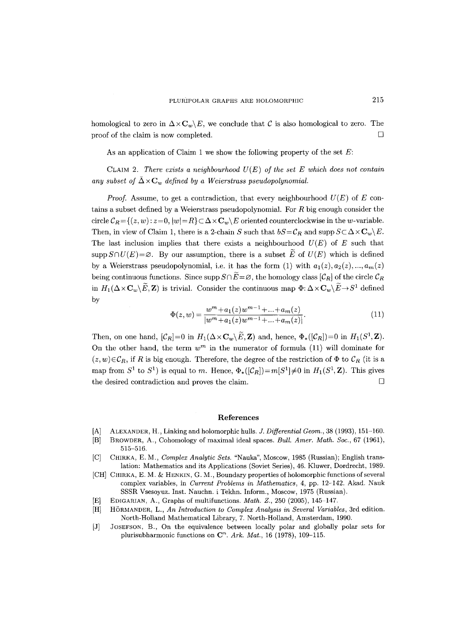homological to zero in  $\Delta \times \mathbf{C}_w \setminus E$ , we conclude that C is also homological to zero. The proof of the claim is now completed.  $\Box$ 

As an application of Claim 1 we show the following property of the set  $E$ :

CLAIM 2. *There exists a neighbourhood U(E) of the set E which does not contain*  any subset of  $\bar{\Delta} \times \mathbf{C}_w$  defined by a Weierstrass pseudopolynomial.

*Proof.* Assume, to get a contradiction, that every neighbourhood  $U(E)$  of E contains a subset defined by a Weierstrass pseudopolynomial. For  $R$  big enough consider the circle  $C_R = \{(z, w): z = 0, |w| = R\} \subset \Delta \times \mathbf{C}_w \setminus E$  oriented counterclockwise in the w-variable. Then, in view of Claim 1, there is a 2-chain S such that  $bS = \mathcal{C}_R$  and supp  $S \subset \Delta \times \mathbf{C}_w \backslash E$ . The last inclusion implies that there exists a neighbourhood  $U(E)$  of E such that  $\text{supp }S\cap U(E)=\varnothing$ . By our assumption, there is a subset  $\overline{E}$  of  $U(E)$  which is defined by a Weierstrass pseudopolynomial, i.e. it has the form (1) with  $a_1(z), a_2(z), ..., a_m(z)$ being continuous functions. Since supp  $S \cap \widetilde{E} = \varnothing$ , the homology class  $[\mathcal{C}_R]$  of the circle  $\mathcal{C}_R$ in  $H_1(\Delta \times \mathbf{C}_w \setminus \widetilde{E}, \mathbf{Z})$  is trivial. Consider the continuous map  $\Phi: \Delta \times \mathbf{C}_w \setminus \widetilde{E} \to S^1$  defined by

$$
\Phi(z, w) = \frac{w^m + a_1(z)w^{m-1} + \dots + a_m(z)}{|w^m + a_1(z)w^{m-1} + \dots + a_m(z)|}.\tag{11}
$$

Then, on one hand,  $[\mathcal{C}_R]=0$  in  $H_1(\Delta \times \mathbf{C}_w \setminus \widetilde{E}, \mathbf{Z})$  and, hence,  $\Phi_*(\mathcal{C}_R)=0$  in  $H_1(S^1, \mathbf{Z})$ . On the other hand, the term  $w^m$  in the numerator of formula (11) will dominate for  $(z, w) \in \mathcal{C}_R$ , if R is big enough. Therefore, the degree of the restriction of  $\Phi$  to  $\mathcal{C}_R$  (it is a map from  $S^1$  to  $S^1$ ) is equal to m. Hence,  $\Phi_*([\mathcal{C}_R])=m[S^1]\neq 0$  in  $H_1(S^1,\mathbf{Z})$ . This gives the desired contradiction and proves the claim.  $\Box$ 

#### **References**

- [A] ALEXANDER, H., Linking and holomorphic hulls. *J. Differential Geom.,* 38 (1993), 151-160.
- [B] BROWDER, A., Cohomology of maximal ideal spaces. *Bull. Amer. Math. Soc.,* 67 (1961), 515-516.
- [C] CHIRKA, E.M., *Complex Analytic Sets.* "Nauka", Moscow, 1985 (Russian); English translation: Mathematics and its Applications (Soviet Series), 46. Kluwer, Dordrecht, 1989.
- [CH] CHIRKA, E. M. & HENKIN, G. M., Boundary properties of holomorphic functions of several complex variables, in *Current Problems in Mathematics,* 4, pp. 12-142. Akad. Nauk SSSR Vsesoyuz. Inst. Nauchn. i Tekhn. Inform., Moscow, 1975 (Russian).
- [E] EDIGARIAN, A., Graphs of multifunctions. *Math. Z.*, 250 (2005), 145-147.
- [H] HORMANDER, L., *An Introduction to Complex Analysis in Several Variables,* 3rd edition. North-Holland Mathematical Library, 7. North-Holland, Amsterdam, 1990.
- [J] JOSEFSON, B., On the equivalence between locally polar and globally polar sets for plurisubharmonic functions on C<sup>n</sup>. Ark. Mat., 16 (1978), 109-115.